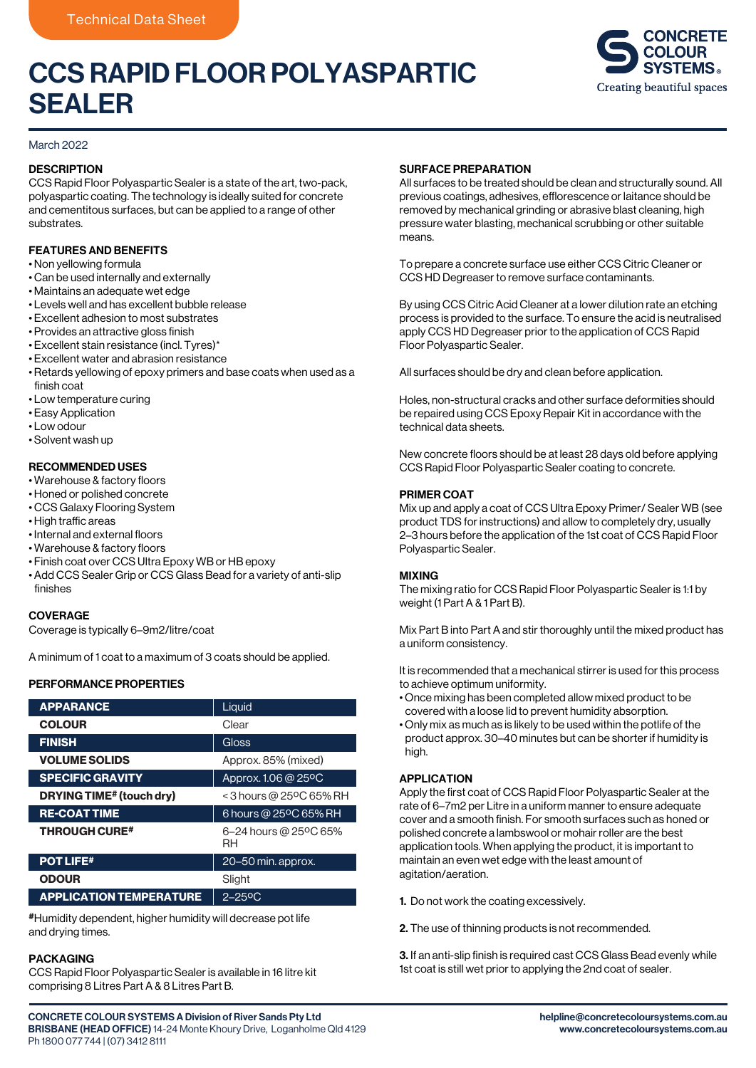## CCS RAPID FLOOR POLYASPARTIC SEALER



## March 2022

## **DESCRIPTION**

CCS Rapid Floor Polyaspartic Sealer is a state of the art, two-pack, polyaspartic coating. The technology is ideally suited for concrete and cementitous surfaces, but can be applied to a range of other substrates.

## FEATURES AND BENEFITS

- Non yellowing formula
- Can be used internally and externally
- Maintains an adequate wet edge
- Levels well and has excellent bubble release
- Excellent adhesion to most substrates
- Provides an attractive gloss finish
- Excellent stain resistance (incl. Tyres)\*
- Excellent water and abrasion resistance
- Retards yellowing of epoxy primers and base coats when used as a finish coat
- Low temperature curing
- Easy Application
- Low odour
- Solvent wash up

## RECOMMENDED USES

- Warehouse & factory floors
- Honed or polished concrete
- CCS Galaxy Flooring System
- High traffic areas
- Internal and external floors
- Warehouse & factory floors
- Finish coat over CCS Ultra Epoxy WB or HB epoxy
- Add CCS Sealer Grip or CCS Glass Bead for a variety of anti-slip finishes

## **COVERAGE**

Coverage is typically 6–9m2/litre/coat

A minimum of 1 coat to a maximum of 3 coats should be applied.

## PERFORMANCE PROPERTIES

| <b>APPARANCE</b>                | Liquid                      |
|---------------------------------|-----------------------------|
| <b>COLOUR</b>                   | Clear                       |
| <b>FINISH</b>                   | Gloss                       |
| <b>VOLUME SOLIDS</b>            | Approx. 85% (mixed)         |
| <b>SPECIFIC GRAVITY</b>         | Approx. 1.06 @ 25°C         |
| <b>DRYING TIME# (touch dry)</b> | < 3 hours @ 25°C 65% RH     |
| <b>RE-COAT TIME</b>             | 6 hours @ 25°C 65% RH       |
| <b>THROUGH CURE#</b>            | 6-24 hours @ 25°C 65%<br>RH |
| <b>POT LIFE#</b>                | 20–50 min. approx.          |
| <b>ODOUR</b>                    | Slight                      |
| <b>APPLICATION TEMPERATURE</b>  | $2 - 25$ <sup>o</sup> C     |

#Humidity dependent, higher humidity will decrease pot life and drying times.

## PACKAGING

CCS Rapid Floor Polyaspartic Sealer is available in 16 litre kit comprising 8 Litres Part A & 8 Litres Part B.

### SURFACE PREPARATION

All surfaces to be treated should be clean and structurally sound. All previous coatings, adhesives, efflorescence or laitance should be removed by mechanical grinding or abrasive blast cleaning, high pressure water blasting, mechanical scrubbing or other suitable means.

To prepare a concrete surface use either CCS Citric Cleaner or CCS HD Degreaser to remove surface contaminants.

By using CCS Citric Acid Cleaner at a lower dilution rate an etching process is provided to the surface. To ensure the acid is neutralised apply CCS HD Degreaser prior to the application of CCS Rapid Floor Polyaspartic Sealer.

All surfaces should be dry and clean before application.

Holes, non-structural cracks and other surface deformities should be repaired using CCS Epoxy Repair Kit in accordance with the technical data sheets.

New concrete floors should be at least 28 days old before applying CCS Rapid Floor Polyaspartic Sealer coating to concrete.

### PRIMER COAT

Mix up and apply a coat of CCS Ultra Epoxy Primer/ Sealer WB (see product TDS for instructions) and allow to completely dry, usually 2–3 hours before the application of the 1st coat of CCS Rapid Floor Polyaspartic Sealer.

### MIXING

The mixing ratio for CCS Rapid Floor Polyaspartic Sealer is 1:1 by weight (1 Part A & 1 Part B).

Mix Part B into Part A and stir thoroughly until the mixed product has a uniform consistency.

It is recommended that a mechanical stirrer is used for this process to achieve optimum uniformity.

- Once mixing has been completed allow mixed product to be covered with a loose lid to prevent humidity absorption.
- Only mix as much as is likely to be used within the potlife of the product approx. 30–40 minutes but can be shorter if humidity is high

## APPLICATION

Apply the first coat of CCS Rapid Floor Polyaspartic Sealer at the rate of 6–7m2 per Litre in a uniform manner to ensure adequate cover and a smooth finish. For smooth surfaces such as honed or polished concrete a lambswool or mohair roller are the best application tools. When applying the product, it is important to maintain an even wet edge with the least amount of agitation/aeration.

1. Do not work the coating excessively.

2. The use of thinning products is not recommended.

3. If an anti-slip finish is required cast CCS Glass Bead evenly while 1st coat is still wet prior to applying the 2nd coat of sealer.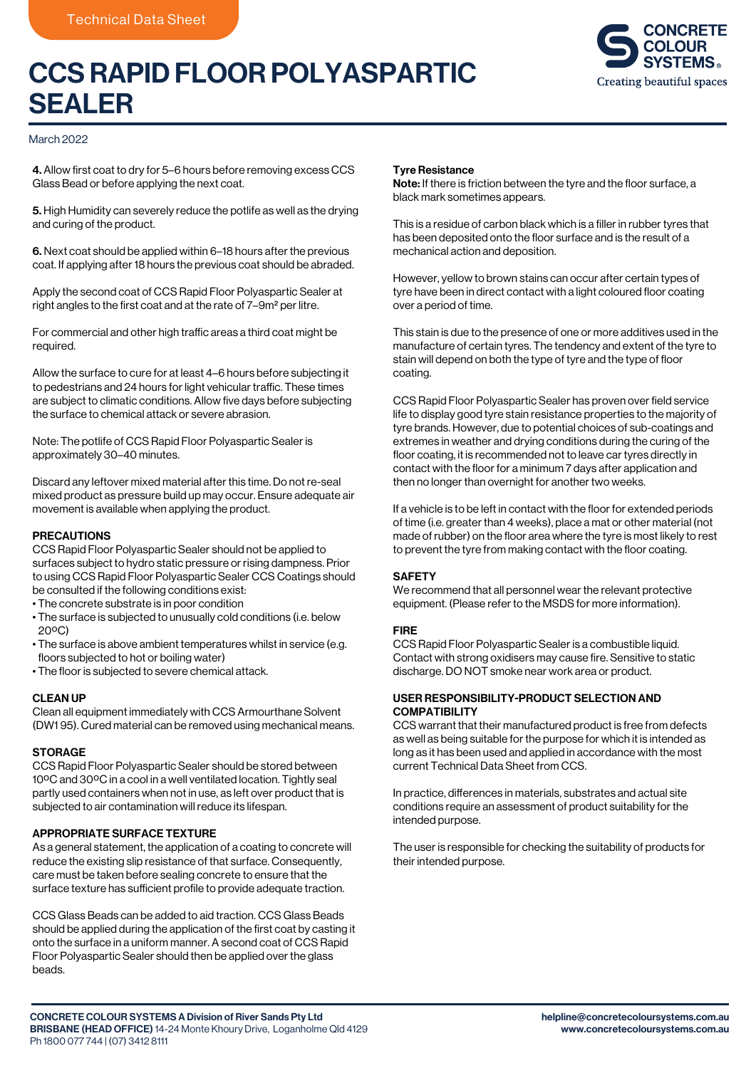# CCS RAPID FLOOR POLYASPARTIC SEALER



### March 2022

4. Allow first coat to dry for 5–6 hours before removing excess CCS Glass Bead or before applying the next coat.

5. High Humidity can severely reduce the potlife as well as the drying and curing of the product.

6. Next coat should be applied within 6–18 hours after the previous coat. If applying after 18 hours the previous coat should be abraded.

Apply the second coat of CCS Rapid Floor Polyaspartic Sealer at right angles to the first coat and at the rate of 7–9m2 per litre.

For commercial and other high traffic areas a third coat might be required.

Allow the surface to cure for at least 4–6 hours before subjecting it to pedestrians and 24 hours for light vehicular traffic. These times are subject to climatic conditions. Allow five days before subjecting the surface to chemical attack or severe abrasion.

Note: The potlife of CCS Rapid Floor Polyaspartic Sealer is approximately 30–40 minutes.

Discard any leftover mixed material after this time. Do not re-seal mixed product as pressure build up may occur. Ensure adequate air movement is available when applying the product.

## PRECAUTIONS

CCS Rapid Floor Polyaspartic Sealer should not be applied to surfaces subject to hydro static pressure or rising dampness. Prior to using CCS Rapid Floor Polyaspartic Sealer CCS Coatings should be consulted if the following conditions exist:

- The concrete substrate is in poor condition
- The surface is subjected to unusually cold conditions (i.e. below 20°C)
- The surface is above ambient temperatures whilst in service (e.g. floors subjected to hot or boiling water)
- The floor is subjected to severe chemical attack.

## CLEAN UP

Clean all equipment immediately with CCS Armourthane Solvent (DW1 95). Cured material can be removed using mechanical means.

#### **STORAGE**

CCS Rapid Floor Polyaspartic Sealer should be stored between 10ºC and 30ºC in a cool in a well ventilated location. Tightly seal partly used containers when not in use, as left over product that is subjected to air contamination will reduce its lifespan.

## APPROPRIATE SURFACE TEXTURE

As a general statement, the application of a coating to concrete will reduce the existing slip resistance of that surface. Consequently, care must be taken before sealing concrete to ensure that the surface texture has sufficient profile to provide adequate traction.

CCS Glass Beads can be added to aid traction. CCS Glass Beads should be applied during the application of the first coat by casting it onto the surface in a uniform manner. A second coat of CCS Rapid Floor Polyaspartic Sealer should then be applied over the glass beads.

#### Tyre Resistance

Note: If there is friction between the tyre and the floor surface, a black mark sometimes appears.

This is a residue of carbon black which is a filler in rubber tyres that has been deposited onto the floor surface and is the result of a mechanical action and deposition.

However, yellow to brown stains can occur after certain types of tyre have been in direct contact with a light coloured floor coating over a period of time.

This stain is due to the presence of one or more additives used in the manufacture of certain tyres. The tendency and extent of the tyre to stain will depend on both the type of tyre and the type of floor coating.

CCS Rapid Floor Polyaspartic Sealer has proven over field service life to display good tyre stain resistance properties to the majority of tyre brands. However, due to potential choices of sub-coatings and extremes in weather and drying conditions during the curing of the floor coating, it is recommended not to leave car tyres directly in contact with the floor for a minimum 7 days after application and then no longer than overnight for another two weeks.

If a vehicle is to be left in contact with the floor for extended periods of time (i.e. greater than 4 weeks), place a mat or other material (not made of rubber) on the floor area where the tyre is most likely to rest to prevent the tyre from making contact with the floor coating.

### **SAFETY**

We recommend that all personnel wear the relevant protective equipment. (Please refer to the MSDS for more information).

#### FIRE

CCS Rapid Floor Polyaspartic Sealer is a combustible liquid. Contact with strong oxidisers may cause fire. Sensitive to static discharge. DO NOT smoke near work area or product.

## USER RESPONSIBILITY-PRODUCT SELECTION AND **COMPATIBILITY**

CCS warrant that their manufactured product is free from defects as well as being suitable for the purpose for which it is intended as long as it has been used and applied in accordance with the most current Technical Data Sheet from CCS.

In practice, differences in materials, substrates and actual site conditions require an assessment of product suitability for the intended purpose.

The user is responsible for checking the suitability of products for their intended purpose.